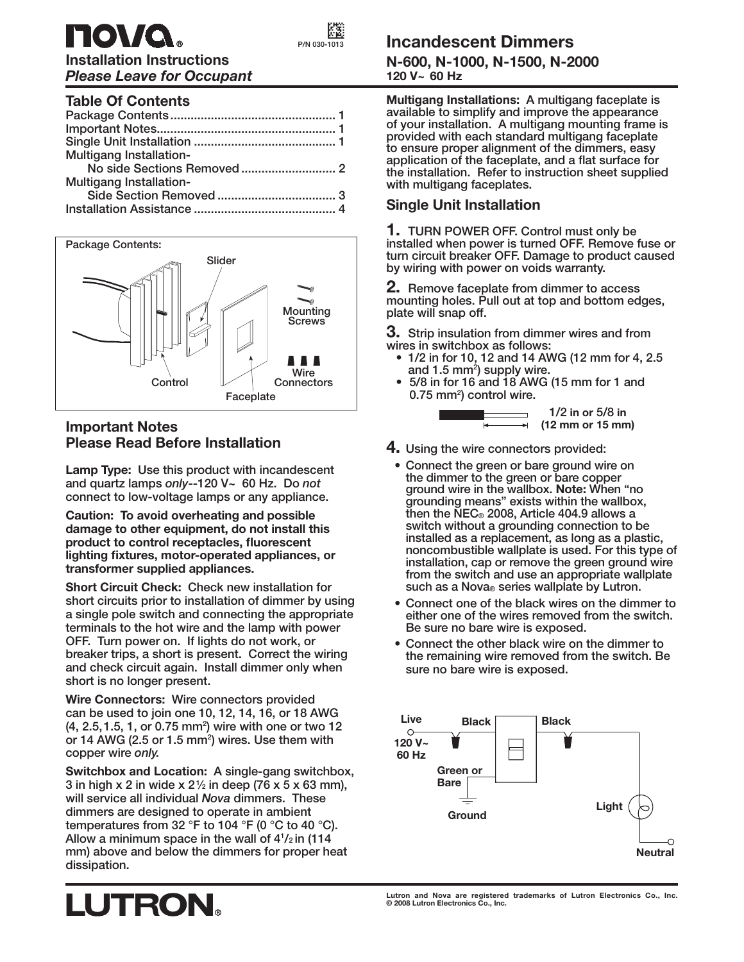

**Installation Instructions** *Please Leave for Occupant*

# **Table Of Contents**

| <b>Multigang Installation-</b> |  |
|--------------------------------|--|
|                                |  |
| <b>Multigang Installation-</b> |  |
|                                |  |
|                                |  |
|                                |  |



### **Important Notes Please Read Before Installation**

**Lamp Type: Use this product with incandescent and quartz lamps** *only***--120 V~ 60 Hz. Do** *not* **connect to low-voltage lamps or any appliance.**

**Caution: To avoid overheating and possible damage to other equipment, do not install this**  product to control receptacles, fluorescent lighting fixtures, motor-operated appliances, or **transformer supplied appliances.**

**Short Circuit Check: Check new installation for short circuits prior to installation of dimmer by using a single pole switch and connecting the appropriate terminals to the hot wire and the lamp with power OFF. Turn power on. If lights do not work, or breaker trips, a short is present. Correct the wiring and check circuit again. Install dimmer only when short is no longer present.**

**Wire Connectors: Wire connectors provided can be used to join one 10, 12, 14, 16, or 18 AWG (4, 2.5, 1.5, 1, or 0.75 mm2 ) wire with one or two 12**  or 14 AWG (2.5 or 1.5 mm<sup>2</sup>) wires. Use them with **copper wire** *only.*

**Switchbox and Location: A single-gang switchbox, 3 in high x 2 in wide x 2 1 ⁄2 in deep (76 x 5 x 63 mm), will service all individual** *Nova* **dimmers. These dimmers are designed to operate in ambient temperatures from 32 °F to 104 °F (0 °C to 40 °C).**  Allow a minimum space in the wall of  $4^{1}/_{2}$  in (114 **mm) above and below the dimmers for proper heat dissipation.**

# **Incandescent Dimmers**

**N-600, N-1000, N-1500, N-2000 120 V~ 60 Hz**

**Multigang Installations: A multigang faceplate is available to simplify and improve the appearance of your installation. A multigang mounting frame is provided with each standard multigang faceplate to ensure proper alignment of the dimmers, easy**  application of the faceplate, and a flat surface for **the installation. Refer to instruction sheet supplied with multigang faceplates.**

## **Single Unit Installation**

**1. TURN POWER OFF. Control must only be installed when power is turned OFF. Remove fuse or turn circuit breaker OFF. Damage to product caused by wiring with power on voids warranty.**

**2. Remove faceplate from dimmer to access mounting holes. Pull out at top and bottom edges, plate will snap off.** 

**3. Strip insulation from dimmer wires and from wires in switchbox as follows:**

- **1/2 in for 10, 12 and 14 AWG (12 mm for 4, 2.5 and 1.5 mm2 ) supply wire.**
- **5/8 in for 16 and 18 AWG (15 mm for 1 and 0.75 mm2 ) control wire.**



- **4. Using the wire connectors provided:**
- **Connect the green or bare ground wire on the dimmer to the green or bare copper ground wire in the wallbox. Note: When "no grounding means" exists within the wallbox, then the NEC® 2008, Article 404.9 allows a switch without a grounding connection to be installed as a replacement, as long as a plastic, noncombustible wallplate is used. For this type of installation, cap or remove the green ground wire from the switch and use an appropriate wallplate such as a Nova® series wallplate by Lutron.**
- **Connect one of the black wires on the dimmer to either one of the wires removed from the switch. Be sure no bare wire is exposed.**
- **Connect the other black wire on the dimmer to the remaining wire removed from the switch. Be sure no bare wire is exposed.**



# **LUTRON.**

**Lutron and Nova are registered trademarks of Lutron Electronics Co., Inc. © 2008 Lutron Electronics Co., Inc.**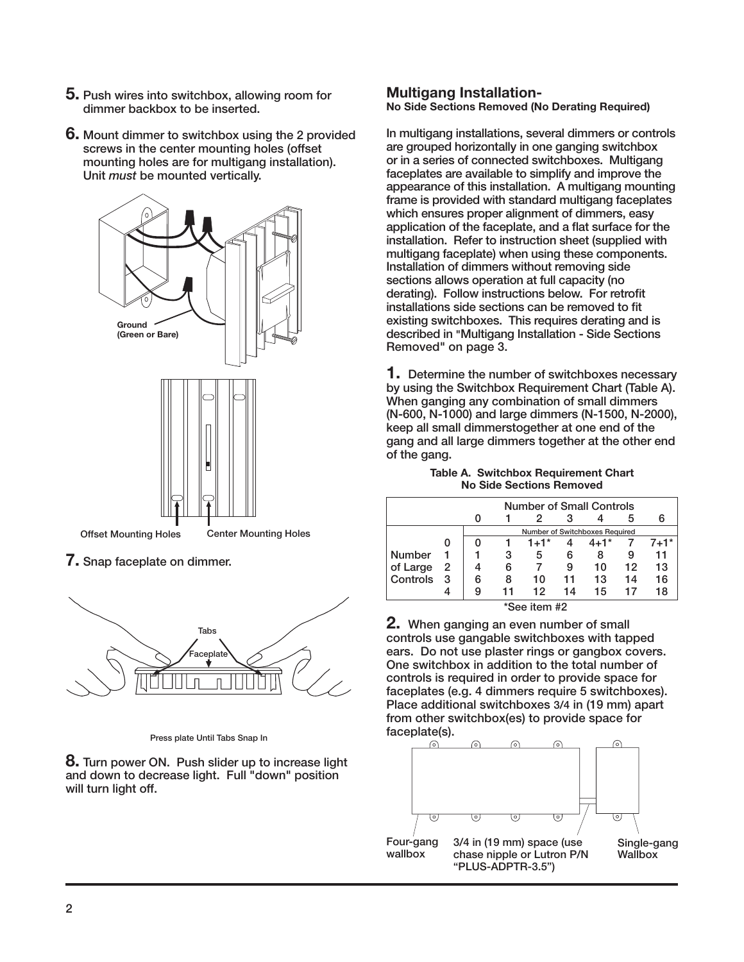- **5. Push wires into switchbox, allowing room for dimmer backbox to be inserted.**
- **6. Mount dimmer to switchbox using the 2 provided screws in the center mounting holes (offset mounting holes are for multigang installation). Unit** *must* **be mounted vertically.**



**7. Snap faceplate on dimmer.**



**Press plate Until Tabs Snap In**

**8. Turn power ON. Push slider up to increase light and down to decrease light. Full "down" position will turn light off.**

#### **Multigang Installation-No Side Sections Removed (No Derating Required)**

**In multigang installations, several dimmers or controls are grouped horizontally in one ganging switchbox or in a series of connected switchboxes. Multigang faceplates are available to simplify and improve the appearance of this installation. A multigang mounting frame is provided with standard multigang faceplates which ensures proper alignment of dimmers, easy**  application of the faceplate, and a flat surface for the **installation. Refer to instruction sheet (supplied with multigang faceplate) when using these components. Installation of dimmers without removing side sections allows operation at full capacity (no**  derating). Follow instructions below. For retrofit installations side sections can be removed to fit **existing switchboxes. This requires derating and is described in "Multigang Installation - Side Sections Removed" on page 3.**

**1. Determine the number of switchboxes necessary by using the Switchbox Requirement Chart (Table A). When ganging any combination of small dimmers (N-600, N-1000) and large dimmers (N-1500, N-2000), keep all small dimmerstogether at one end of the gang and all large dimmers together at the other end of the gang.**

#### **Table A. Switchbox Requirement Chart No Side Sections Removed**

| <b>Number of Small Controls</b> |   |   |                                |        |    |          |    |          |  |
|---------------------------------|---|---|--------------------------------|--------|----|----------|----|----------|--|
|                                 |   |   |                                | 2      |    |          | 5  | 6        |  |
|                                 |   |   | Number of Switchboxes Required |        |    |          |    |          |  |
|                                 |   |   |                                | $1+1*$ | 4  | $4 + 1*$ |    | $7 + 1*$ |  |
| <b>Number</b>                   |   |   | 3                              | 5      | 6  | 8        | 9  | 11       |  |
| of Large                        | 2 |   | 6                              |        | 9  | 10       | 12 | 13       |  |
| Controls                        | 3 | 6 | 8                              | 10     | 11 | 13       | 14 | 16       |  |
|                                 |   | 9 | 11                             | 12     | 14 | 15       | 17 | 18       |  |
| *See item #2                    |   |   |                                |        |    |          |    |          |  |

 **\*See item #2**

**2. When ganging an even number of small controls use gangable switchboxes with tapped ears. Do not use plaster rings or gangbox covers. One switchbox in addition to the total number of controls is required in order to provide space for faceplates (e.g. 4 dimmers require 5 switchboxes). Place additional switchboxes 3/4 in (19 mm) apart from other switchbox(es) to provide space for faceplate(s).**

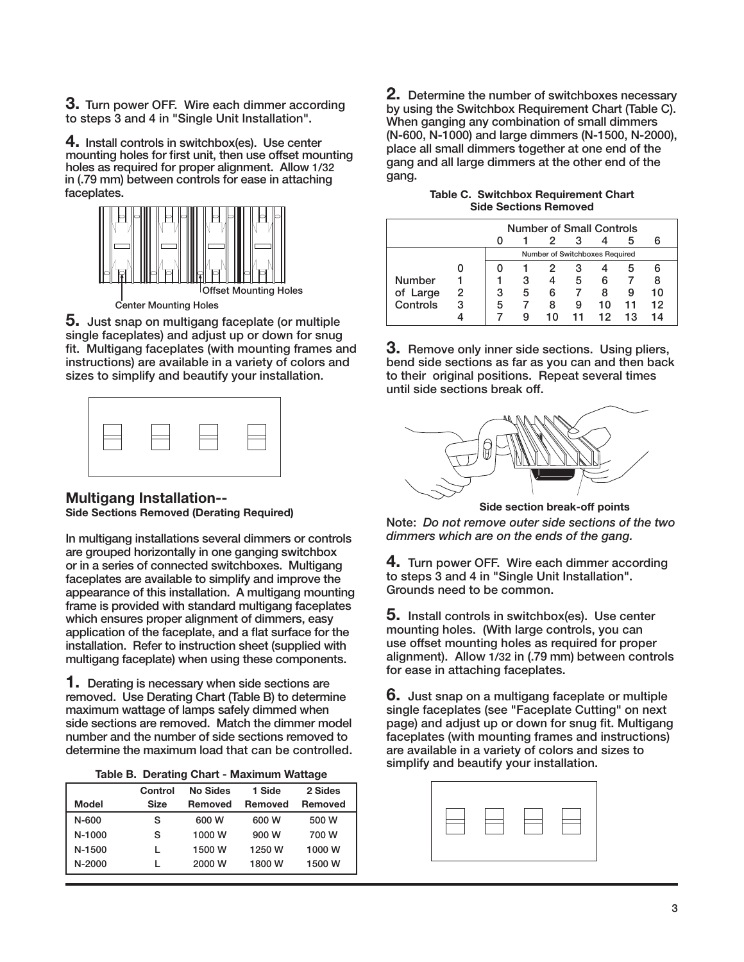**3. Turn power OFF. Wire each dimmer according to steps 3 and 4 in "Single Unit Installation".**

**4. Install controls in switchbox(es). Use center**  mounting holes for first unit, then use offset mounting **holes as required for proper alignment. Allow 1/32 in (.79 mm) between controls for ease in attaching faceplates.**



**5. Just snap on multigang faceplate (or multiple single faceplates) and adjust up or down for snug**  fit. Multigang faceplates (with mounting frames and **instructions) are available in a variety of colors and sizes to simplify and beautify your installation.**

|--|

#### **Multigang Installation-- Side Sections Removed (Derating Required)**

**In multigang installations several dimmers or controls are grouped horizontally in one ganging switchbox or in a series of connected switchboxes. Multigang faceplates are available to simplify and improve the appearance of this installation. A multigang mounting frame is provided with standard multigang faceplates which ensures proper alignment of dimmers, easy**  application of the faceplate, and a flat surface for the **installation. Refer to instruction sheet (supplied with multigang faceplate) when using these components.**

**1. Derating is necessary when side sections are removed. Use Derating Chart (Table B) to determine maximum wattage of lamps safely dimmed when side sections are removed. Match the dimmer model number and the number of side sections removed to determine the maximum load that can be controlled.**

| Table B. Derating Chart - Maximum Wattage |  |  |  |  |  |
|-------------------------------------------|--|--|--|--|--|
|-------------------------------------------|--|--|--|--|--|

|              | Control     | No Sides | 1 Side  | 2 Sides        |
|--------------|-------------|----------|---------|----------------|
| <b>Model</b> | <b>Size</b> | Removed  | Removed | <b>Removed</b> |
| $N-600$      | S           | 600 W    | 600 W   | 500 W          |
| $N-1000$     | s           | 1000 W   | 900 W   | 700 W          |
| N-1500       |             | 1500 W   | 1250 W  | 1000 W         |
| $N-2000$     |             | 2000 W   | 1800 W  | 1500 W         |

**2. Determine the number of switchboxes necessary by using the Switchbox Requirement Chart (Table C). When ganging any combination of small dimmers (N-600, N-1000) and large dimmers (N-1500, N-2000), place all small dimmers together at one end of the gang and all large dimmers at the other end of the gang.**

| Table C. Switchbox Requirement Chart |  |
|--------------------------------------|--|
| <b>Side Sections Removed</b>         |  |

|               | <b>Number of Small Controls</b> |   |   |                                |    |    |    |    |
|---------------|---------------------------------|---|---|--------------------------------|----|----|----|----|
|               |                                 |   |   |                                |    |    |    |    |
|               |                                 |   |   | Number of Switchboxes Required |    |    |    |    |
|               |                                 |   |   |                                | з  |    |    |    |
| <b>Number</b> |                                 |   | з |                                | 5  | 6  |    |    |
| of Large      | 2                               | З | 5 | 6                              |    | 8  |    | 10 |
| Controls      | 3                               | 5 |   |                                |    | 10 | 11 | 12 |
|               |                                 |   |   | 10                             | 11 | 12 | 13 | 14 |

**3. Remove only inner side sections. Using pliers, bend side sections as far as you can and then back to their original positions. Repeat several times until side sections break off.**



**Side section break-off points**

**Note:** *Do not remove outer side sections of the two dimmers which are on the ends of the gang.*

**4. Turn power OFF. Wire each dimmer according to steps 3 and 4 in "Single Unit Installation". Grounds need to be common.**

**5. Install controls in switchbox(es). Use center mounting holes. (With large controls, you can use offset mounting holes as required for proper alignment). Allow 1/32 in (.79 mm) between controls for ease in attaching faceplates.**

**6. Just snap on a multigang faceplate or multiple single faceplates (see "Faceplate Cutting" on next**  page) and adjust up or down for snug fit. Multigang **faceplates (with mounting frames and instructions) are available in a variety of colors and sizes to simplify and beautify your installation.**